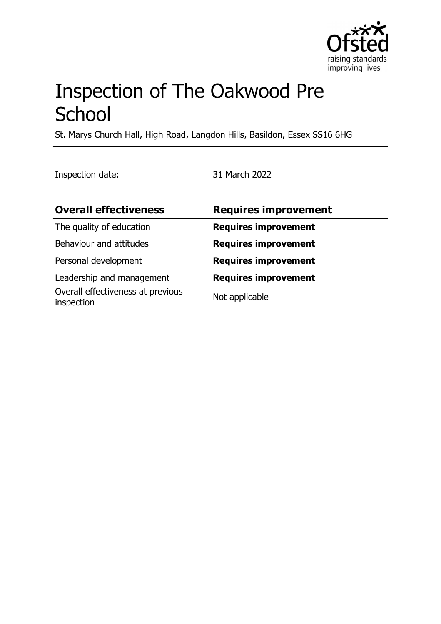

# Inspection of The Oakwood Pre **School**

St. Marys Church Hall, High Road, Langdon Hills, Basildon, Essex SS16 6HG

Inspection date: 31 March 2022

| <b>Overall effectiveness</b>                    | <b>Requires improvement</b> |
|-------------------------------------------------|-----------------------------|
| The quality of education                        | <b>Requires improvement</b> |
| Behaviour and attitudes                         | <b>Requires improvement</b> |
| Personal development                            | <b>Requires improvement</b> |
| Leadership and management                       | <b>Requires improvement</b> |
| Overall effectiveness at previous<br>inspection | Not applicable              |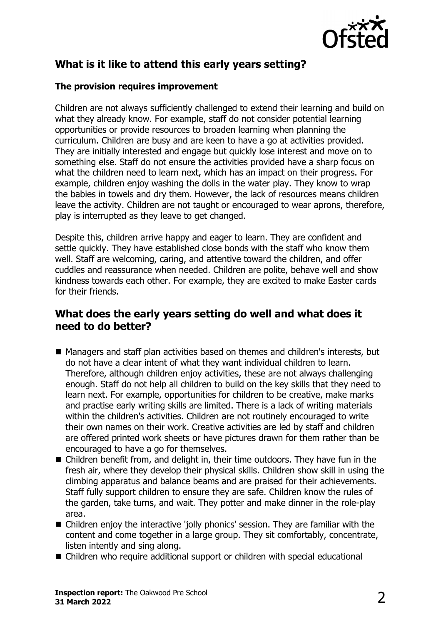

# **What is it like to attend this early years setting?**

### **The provision requires improvement**

Children are not always sufficiently challenged to extend their learning and build on what they already know. For example, staff do not consider potential learning opportunities or provide resources to broaden learning when planning the curriculum. Children are busy and are keen to have a go at activities provided. They are initially interested and engage but quickly lose interest and move on to something else. Staff do not ensure the activities provided have a sharp focus on what the children need to learn next, which has an impact on their progress. For example, children enjoy washing the dolls in the water play. They know to wrap the babies in towels and dry them. However, the lack of resources means children leave the activity. Children are not taught or encouraged to wear aprons, therefore, play is interrupted as they leave to get changed.

Despite this, children arrive happy and eager to learn. They are confident and settle quickly. They have established close bonds with the staff who know them well. Staff are welcoming, caring, and attentive toward the children, and offer cuddles and reassurance when needed. Children are polite, behave well and show kindness towards each other. For example, they are excited to make Easter cards for their friends.

## **What does the early years setting do well and what does it need to do better?**

- Managers and staff plan activities based on themes and children's interests, but do not have a clear intent of what they want individual children to learn. Therefore, although children enjoy activities, these are not always challenging enough. Staff do not help all children to build on the key skills that they need to learn next. For example, opportunities for children to be creative, make marks and practise early writing skills are limited. There is a lack of writing materials within the children's activities. Children are not routinely encouraged to write their own names on their work. Creative activities are led by staff and children are offered printed work sheets or have pictures drawn for them rather than be encouraged to have a go for themselves.
- $\blacksquare$  Children benefit from, and delight in, their time outdoors. They have fun in the fresh air, where they develop their physical skills. Children show skill in using the climbing apparatus and balance beams and are praised for their achievements. Staff fully support children to ensure they are safe. Children know the rules of the garden, take turns, and wait. They potter and make dinner in the role-play area.
- Children enjoy the interactive 'jolly phonics' session. They are familiar with the content and come together in a large group. They sit comfortably, concentrate, listen intently and sing along.
- Children who require additional support or children with special educational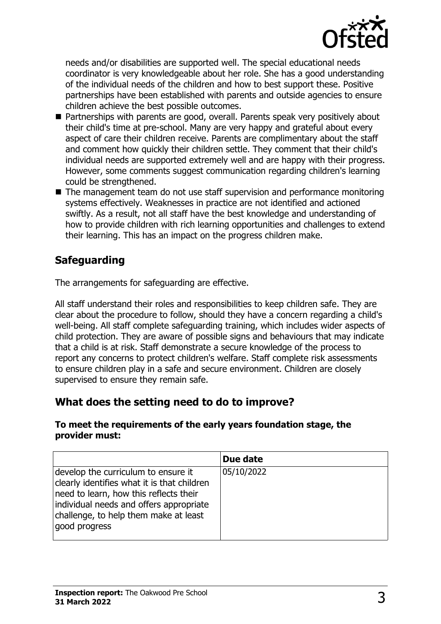

needs and/or disabilities are supported well. The special educational needs coordinator is very knowledgeable about her role. She has a good understanding of the individual needs of the children and how to best support these. Positive partnerships have been established with parents and outside agencies to ensure children achieve the best possible outcomes.

- Partnerships with parents are good, overall. Parents speak very positively about their child's time at pre-school. Many are very happy and grateful about every aspect of care their children receive. Parents are complimentary about the staff and comment how quickly their children settle. They comment that their child's individual needs are supported extremely well and are happy with their progress. However, some comments suggest communication regarding children's learning could be strengthened.
- $\blacksquare$  The management team do not use staff supervision and performance monitoring systems effectively. Weaknesses in practice are not identified and actioned swiftly. As a result, not all staff have the best knowledge and understanding of how to provide children with rich learning opportunities and challenges to extend their learning. This has an impact on the progress children make.

# **Safeguarding**

The arrangements for safeguarding are effective.

All staff understand their roles and responsibilities to keep children safe. They are clear about the procedure to follow, should they have a concern regarding a child's well-being. All staff complete safeguarding training, which includes wider aspects of child protection. They are aware of possible signs and behaviours that may indicate that a child is at risk. Staff demonstrate a secure knowledge of the process to report any concerns to protect children's welfare. Staff complete risk assessments to ensure children play in a safe and secure environment. Children are closely supervised to ensure they remain safe.

# **What does the setting need to do to improve?**

#### **To meet the requirements of the early years foundation stage, the provider must:**

|                                                                                                                                                                                                                                   | Due date   |
|-----------------------------------------------------------------------------------------------------------------------------------------------------------------------------------------------------------------------------------|------------|
| develop the curriculum to ensure it<br>clearly identifies what it is that children<br>need to learn, how this reflects their<br>individual needs and offers appropriate<br>challenge, to help them make at least<br>good progress | 05/10/2022 |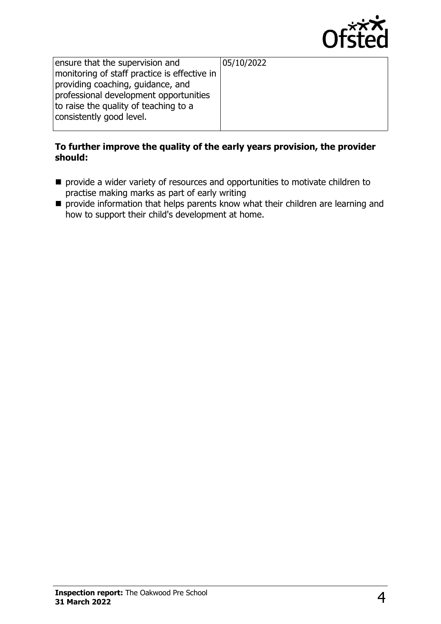

| ensure that the supervision and              | 05/10/2022 |
|----------------------------------------------|------------|
| monitoring of staff practice is effective in |            |
| providing coaching, guidance, and            |            |
| professional development opportunities       |            |
| to raise the quality of teaching to a        |            |
| consistently good level.                     |            |
|                                              |            |

## **To further improve the quality of the early years provision, the provider should:**

- provide a wider variety of resources and opportunities to motivate children to practise making marks as part of early writing
- $\blacksquare$  provide information that helps parents know what their children are learning and how to support their child's development at home.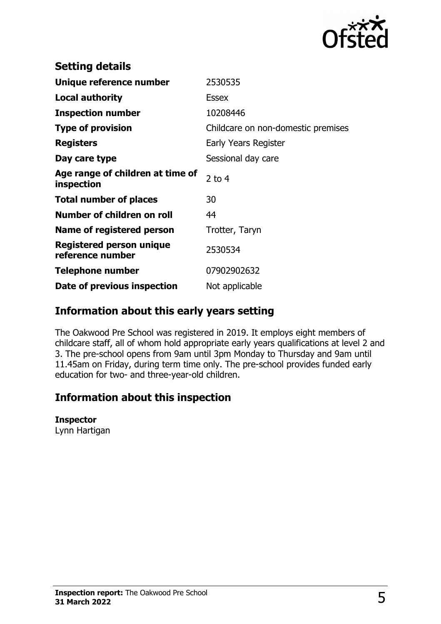

| <b>Setting details</b>                              |                                    |
|-----------------------------------------------------|------------------------------------|
| Unique reference number                             | 2530535                            |
| Local authority                                     | <b>Essex</b>                       |
| <b>Inspection number</b>                            | 10208446                           |
| <b>Type of provision</b>                            | Childcare on non-domestic premises |
| <b>Registers</b>                                    | Early Years Register               |
| Day care type                                       | Sessional day care                 |
| Age range of children at time of<br>inspection      | 2 to $4$                           |
| <b>Total number of places</b>                       | 30                                 |
| Number of children on roll                          | 44                                 |
| Name of registered person                           | Trotter, Taryn                     |
| <b>Registered person unique</b><br>reference number | 2530534                            |
| <b>Telephone number</b>                             | 07902902632                        |
| Date of previous inspection                         | Not applicable                     |

## **Information about this early years setting**

The Oakwood Pre School was registered in 2019. It employs eight members of childcare staff, all of whom hold appropriate early years qualifications at level 2 and 3. The pre-school opens from 9am until 3pm Monday to Thursday and 9am until 11.45am on Friday, during term time only. The pre-school provides funded early education for two- and three-year-old children.

## **Information about this inspection**

#### **Inspector**

Lynn Hartigan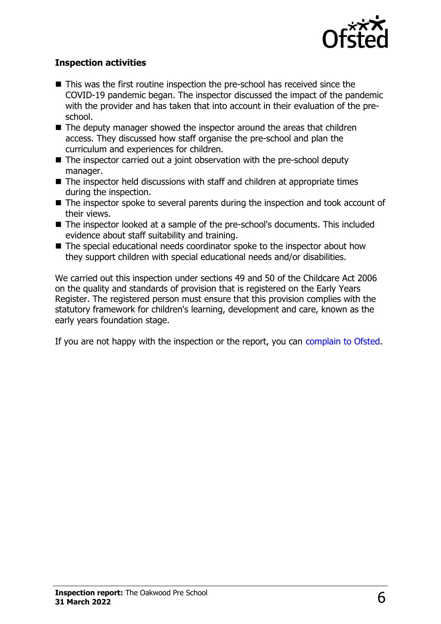

## **Inspection activities**

- $\blacksquare$  This was the first routine inspection the pre-school has received since the COVID-19 pandemic began. The inspector discussed the impact of the pandemic with the provider and has taken that into account in their evaluation of the preschool.
- $\blacksquare$  The deputy manager showed the inspector around the areas that children access. They discussed how staff organise the pre-school and plan the curriculum and experiences for children.
- $\blacksquare$  The inspector carried out a joint observation with the pre-school deputy manager.
- $\blacksquare$  The inspector held discussions with staff and children at appropriate times during the inspection.
- $\blacksquare$  The inspector spoke to several parents during the inspection and took account of their views.
- The inspector looked at a sample of the pre-school's documents. This included evidence about staff suitability and training.
- $\blacksquare$  The special educational needs coordinator spoke to the inspector about how they support children with special educational needs and/or disabilities.

We carried out this inspection under sections 49 and 50 of the Childcare Act 2006 on the quality and standards of provision that is registered on the Early Years Register. The registered person must ensure that this provision complies with the statutory framework for children's learning, development and care, known as the early years foundation stage.

If you are not happy with the inspection or the report, you can [complain to Ofsted](http://www.gov.uk/complain-ofsted-report).